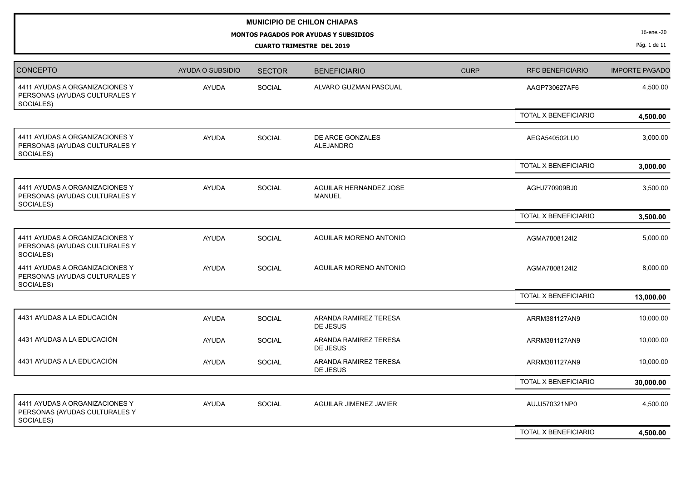## **MUNICIPIO DE CHILON CHIAPAS**

**MONTOS PAGADOS POR AYUDAS Y SUBSIDIOS**

**CUARTO TRIMESTRE DEL 2019**

16-ene.-20

Pág. 1 de 11

| <b>CONCEPTO</b>                                                              | AYUDA O SUBSIDIO | <b>SECTOR</b> | <b>BENEFICIARIO</b>                     | <b>CURP</b> | <b>RFC BENEFICIARIO</b>     | <b>IMPORTE PAGADO</b> |
|------------------------------------------------------------------------------|------------------|---------------|-----------------------------------------|-------------|-----------------------------|-----------------------|
| 4411 AYUDAS A ORGANIZACIONES Y<br>PERSONAS (AYUDAS CULTURALES Y<br>SOCIALES) | <b>AYUDA</b>     | SOCIAL        | ALVARO GUZMAN PASCUAL                   |             | AAGP730627AF6               | 4,500.00              |
|                                                                              |                  |               |                                         |             | TOTAL X BENEFICIARIO        | 4,500.00              |
| 4411 AYUDAS A ORGANIZACIONES Y<br>PERSONAS (AYUDAS CULTURALES Y<br>SOCIALES) | <b>AYUDA</b>     | <b>SOCIAL</b> | DE ARCE GONZALES<br>ALEJANDRO           |             | AEGA540502LU0               | 3,000.00              |
|                                                                              |                  |               |                                         |             | TOTAL X BENEFICIARIO        | 3,000.00              |
| 4411 AYUDAS A ORGANIZACIONES Y<br>PERSONAS (AYUDAS CULTURALES Y<br>SOCIALES) | <b>AYUDA</b>     | SOCIAL        | AGUILAR HERNANDEZ JOSE<br><b>MANUEL</b> |             | AGHJ770909BJ0               | 3,500.00              |
|                                                                              |                  |               |                                         |             | TOTAL X BENEFICIARIO        | 3,500.00              |
| 4411 AYUDAS A ORGANIZACIONES Y<br>PERSONAS (AYUDAS CULTURALES Y<br>SOCIALES) | <b>AYUDA</b>     | <b>SOCIAL</b> | AGUILAR MORENO ANTONIO                  |             | AGMA7808124I2               | 5,000.00              |
| 4411 AYUDAS A ORGANIZACIONES Y<br>PERSONAS (AYUDAS CULTURALES Y<br>SOCIALES) | <b>AYUDA</b>     | SOCIAL        | AGUILAR MORENO ANTONIO                  |             | AGMA7808124I2               | 8,000.00              |
|                                                                              |                  |               |                                         |             | TOTAL X BENEFICIARIO        | 13,000.00             |
| 4431 AYUDAS A LA EDUCACIÓN                                                   | <b>AYUDA</b>     | <b>SOCIAL</b> | ARANDA RAMIREZ TERESA<br>DE JESUS       |             | ARRM381127AN9               | 10,000.00             |
| 4431 AYUDAS A LA EDUCACIÓN                                                   | <b>AYUDA</b>     | <b>SOCIAL</b> | ARANDA RAMIREZ TERESA<br>DE JESUS       |             | ARRM381127AN9               | 10,000.00             |
| 4431 AYUDAS A LA EDUCACIÓN                                                   | <b>AYUDA</b>     | <b>SOCIAL</b> | ARANDA RAMIREZ TERESA<br>DE JESUS       |             | ARRM381127AN9               | 10,000.00             |
|                                                                              |                  |               |                                         |             | <b>TOTAL X BENEFICIARIO</b> | 30,000.00             |
| 4411 AYUDAS A ORGANIZACIONES Y<br>PERSONAS (AYUDAS CULTURALES Y<br>SOCIALES) | <b>AYUDA</b>     | <b>SOCIAL</b> | AGUILAR JIMENEZ JAVIER                  |             | AUJJ570321NP0               | 4,500.00              |
|                                                                              |                  |               |                                         |             | TOTAL X BENEFICIARIO        | 4,500.00              |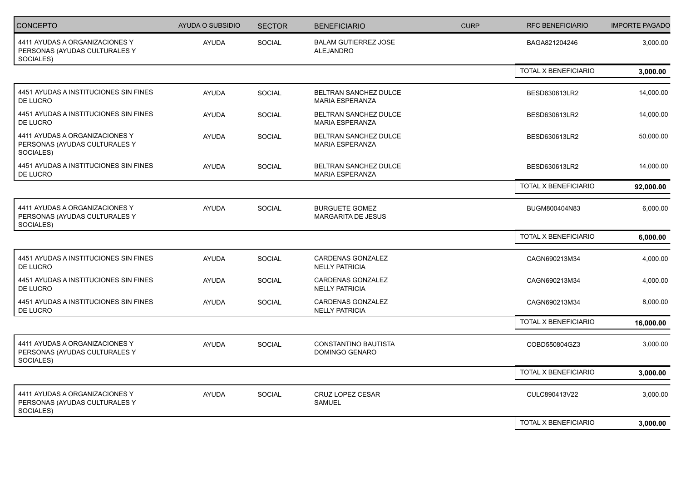| CONCEPTO                                                                     | <b>AYUDA O SUBSIDIO</b> | <b>SECTOR</b> | <b>BENEFICIARIO</b>                                | <b>CURP</b> | <b>RFC BENEFICIARIO</b>     | <b>IMPORTE PAGADO</b> |
|------------------------------------------------------------------------------|-------------------------|---------------|----------------------------------------------------|-------------|-----------------------------|-----------------------|
| 4411 AYUDAS A ORGANIZACIONES Y<br>PERSONAS (AYUDAS CULTURALES Y<br>SOCIALES) | <b>AYUDA</b>            | SOCIAL        | <b>BALAM GUTIERREZ JOSE</b><br>ALEJANDRO           |             | BAGA821204246               | 3,000.00              |
|                                                                              |                         |               |                                                    |             | <b>TOTAL X BENEFICIARIO</b> | 3,000.00              |
| 4451 AYUDAS A INSTITUCIONES SIN FINES<br>DE LUCRO                            | <b>AYUDA</b>            | <b>SOCIAL</b> | BELTRAN SANCHEZ DULCE<br><b>MARIA ESPERANZA</b>    |             | BESD630613LR2               | 14,000.00             |
| 4451 AYUDAS A INSTITUCIONES SIN FINES<br>DE LUCRO                            | <b>AYUDA</b>            | <b>SOCIAL</b> | BELTRAN SANCHEZ DULCE<br><b>MARIA ESPERANZA</b>    |             | BESD630613LR2               | 14,000.00             |
| 4411 AYUDAS A ORGANIZACIONES Y<br>PERSONAS (AYUDAS CULTURALES Y<br>SOCIALES) | <b>AYUDA</b>            | <b>SOCIAL</b> | BELTRAN SANCHEZ DULCE<br><b>MARIA ESPERANZA</b>    |             | BESD630613LR2               | 50,000.00             |
| 4451 AYUDAS A INSTITUCIONES SIN FINES<br>DE LUCRO                            | AYUDA                   | <b>SOCIAL</b> | BELTRAN SANCHEZ DULCE<br><b>MARIA ESPERANZA</b>    |             | BESD630613LR2               | 14,000.00             |
|                                                                              |                         |               |                                                    |             | TOTAL X BENEFICIARIO        | 92,000.00             |
| 4411 AYUDAS A ORGANIZACIONES Y<br>PERSONAS (AYUDAS CULTURALES Y<br>SOCIALES) | <b>AYUDA</b>            | SOCIAL        | <b>BURGUETE GOMEZ</b><br><b>MARGARITA DE JESUS</b> |             | BUGM800404N83               | 6,000.00              |
|                                                                              |                         |               |                                                    |             | <b>TOTAL X BENEFICIARIO</b> | 6,000.00              |
| 4451 AYUDAS A INSTITUCIONES SIN FINES<br>DE LUCRO                            | <b>AYUDA</b>            | SOCIAL        | CARDENAS GONZALEZ<br><b>NELLY PATRICIA</b>         |             | CAGN690213M34               | 4,000.00              |
| 4451 AYUDAS A INSTITUCIONES SIN FINES<br>DE LUCRO                            | <b>AYUDA</b>            | <b>SOCIAL</b> | CARDENAS GONZALEZ<br><b>NELLY PATRICIA</b>         |             | CAGN690213M34               | 4,000.00              |
| 4451 AYUDAS A INSTITUCIONES SIN FINES<br>DE LUCRO                            | AYUDA                   | SOCIAL        | CARDENAS GONZALEZ<br><b>NELLY PATRICIA</b>         |             | CAGN690213M34               | 8,000.00              |
|                                                                              |                         |               |                                                    |             | TOTAL X BENEFICIARIO        | 16,000.00             |
| 4411 AYUDAS A ORGANIZACIONES Y<br>PERSONAS (AYUDAS CULTURALES Y<br>SOCIALES) | <b>AYUDA</b>            | <b>SOCIAL</b> | CONSTANTINO BAUTISTA<br>DOMINGO GENARO             |             | COBD550804GZ3               | 3,000.00              |
|                                                                              |                         |               |                                                    |             | TOTAL X BENEFICIARIO        | 3,000.00              |
| 4411 AYUDAS A ORGANIZACIONES Y<br>PERSONAS (AYUDAS CULTURALES Y<br>SOCIALES) | <b>AYUDA</b>            | <b>SOCIAL</b> | <b>CRUZ LOPEZ CESAR</b><br><b>SAMUEL</b>           |             | CULC890413V22               | 3,000.00              |
|                                                                              |                         |               |                                                    |             | TOTAL X BENEFICIARIO        | 3,000.00              |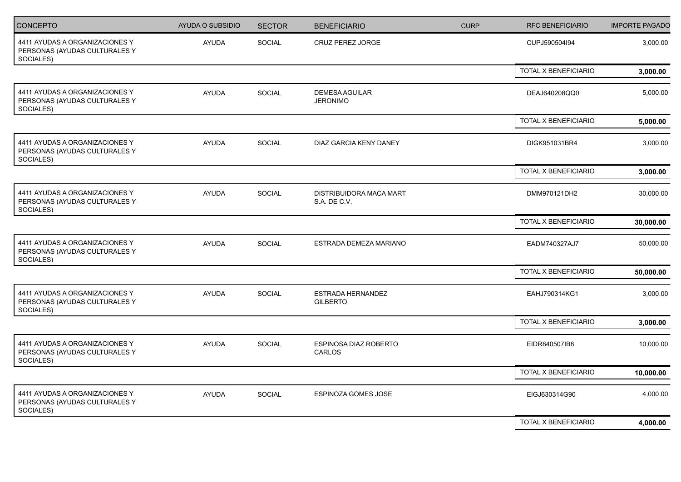| CONCEPTO                                                                     | <b>AYUDA O SUBSIDIO</b> | <b>SECTOR</b> | <b>BENEFICIARIO</b>                            | <b>CURP</b> | <b>RFC BENEFICIARIO</b>     | <b>IMPORTE PAGADO</b> |
|------------------------------------------------------------------------------|-------------------------|---------------|------------------------------------------------|-------------|-----------------------------|-----------------------|
| 4411 AYUDAS A ORGANIZACIONES Y<br>PERSONAS (AYUDAS CULTURALES Y<br>SOCIALES) | AYUDA                   | SOCIAL        | CRUZ PEREZ JORGE                               |             | CUPJ590504I94               | 3,000.00              |
|                                                                              |                         |               |                                                |             | TOTAL X BENEFICIARIO        | 3,000.00              |
| 4411 AYUDAS A ORGANIZACIONES Y<br>PERSONAS (AYUDAS CULTURALES Y<br>SOCIALES) | AYUDA                   | SOCIAL        | <b>DEMESA AGUILAR</b><br><b>JERONIMO</b>       |             | DEAJ640208QQ0               | 5,000.00              |
|                                                                              |                         |               |                                                |             | TOTAL X BENEFICIARIO        | 5,000.00              |
| 4411 AYUDAS A ORGANIZACIONES Y<br>PERSONAS (AYUDAS CULTURALES Y<br>SOCIALES) | <b>AYUDA</b>            | SOCIAL        | DIAZ GARCIA KENY DANEY                         |             | DIGK951031BR4               | 3,000.00              |
|                                                                              |                         |               |                                                |             | TOTAL X BENEFICIARIO        | 3,000.00              |
| 4411 AYUDAS A ORGANIZACIONES Y<br>PERSONAS (AYUDAS CULTURALES Y<br>SOCIALES) | <b>AYUDA</b>            | SOCIAL        | <b>DISTRIBUIDORA MACA MART</b><br>S.A. DE C.V. |             | DMM970121DH2                | 30,000.00             |
|                                                                              |                         |               |                                                |             | TOTAL X BENEFICIARIO        | 30,000.00             |
| 4411 AYUDAS A ORGANIZACIONES Y<br>PERSONAS (AYUDAS CULTURALES Y<br>SOCIALES) | AYUDA                   | SOCIAL        | ESTRADA DEMEZA MARIANO                         |             | EADM740327AJ7               | 50,000.00             |
|                                                                              |                         |               |                                                |             | TOTAL X BENEFICIARIO        | 50,000.00             |
| 4411 AYUDAS A ORGANIZACIONES Y<br>PERSONAS (AYUDAS CULTURALES Y<br>SOCIALES) | <b>AYUDA</b>            | SOCIAL        | ESTRADA HERNANDEZ<br><b>GILBERTO</b>           |             | EAHJ790314KG1               | 3,000.00              |
|                                                                              |                         |               |                                                |             | TOTAL X BENEFICIARIO        | 3,000.00              |
| 4411 AYUDAS A ORGANIZACIONES Y<br>PERSONAS (AYUDAS CULTURALES Y<br>SOCIALES) | <b>AYUDA</b>            | SOCIAL        | <b>ESPINOSA DIAZ ROBERTO</b><br>CARLOS         |             | EIDR840507IB8               | 10,000.00             |
|                                                                              |                         |               |                                                |             | TOTAL X BENEFICIARIO        | 10,000.00             |
| 4411 AYUDAS A ORGANIZACIONES Y<br>PERSONAS (AYUDAS CULTURALES Y<br>SOCIALES) | <b>AYUDA</b>            | <b>SOCIAL</b> | <b>ESPINOZA GOMES JOSE</b>                     |             | EIGJ630314G90               | 4,000.00              |
|                                                                              |                         |               |                                                |             | <b>TOTAL X BENEFICIARIO</b> | 4,000.00              |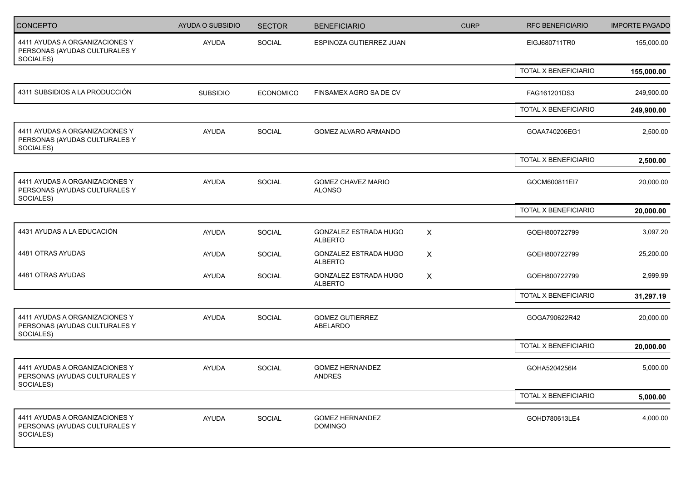| <b>CONCEPTO</b>                                                              | <b>AYUDA O SUBSIDIO</b> | <b>SECTOR</b>    | <b>BENEFICIARIO</b>                      | <b>CURP</b>               | <b>RFC BENEFICIARIO</b> | <b>IMPORTE PAGADO</b> |
|------------------------------------------------------------------------------|-------------------------|------------------|------------------------------------------|---------------------------|-------------------------|-----------------------|
| 4411 AYUDAS A ORGANIZACIONES Y<br>PERSONAS (AYUDAS CULTURALES Y<br>SOCIALES) | AYUDA                   | SOCIAL           | ESPINOZA GUTIERREZ JUAN                  |                           | EIGJ680711TR0           | 155,000.00            |
|                                                                              |                         |                  |                                          |                           | TOTAL X BENEFICIARIO    | 155,000.00            |
| 4311 SUBSIDIOS A LA PRODUCCIÓN                                               | <b>SUBSIDIO</b>         | <b>ECONOMICO</b> | FINSAMEX AGRO SA DE CV                   |                           | FAG161201DS3            | 249,900.00            |
|                                                                              |                         |                  |                                          |                           | TOTAL X BENEFICIARIO    | 249,900.00            |
| 4411 AYUDAS A ORGANIZACIONES Y<br>PERSONAS (AYUDAS CULTURALES Y<br>SOCIALES) | <b>AYUDA</b>            | <b>SOCIAL</b>    | GOMEZ ALVARO ARMANDO                     |                           | GOAA740206EG1           | 2,500.00              |
|                                                                              |                         |                  |                                          |                           | TOTAL X BENEFICIARIO    | 2,500.00              |
| 4411 AYUDAS A ORGANIZACIONES Y<br>PERSONAS (AYUDAS CULTURALES Y<br>SOCIALES) | <b>AYUDA</b>            | SOCIAL           | GOMEZ CHAVEZ MARIO<br><b>ALONSO</b>      |                           | GOCM600811EI7           | 20,000.00             |
|                                                                              |                         |                  |                                          |                           | TOTAL X BENEFICIARIO    | 20,000.00             |
| 4431 AYUDAS A LA EDUCACIÓN                                                   | <b>AYUDA</b>            | SOCIAL           | GONZALEZ ESTRADA HUGO<br><b>ALBERTO</b>  | $\boldsymbol{\mathsf{X}}$ | GOEH800722799           | 3,097.20              |
| 4481 OTRAS AYUDAS                                                            | <b>AYUDA</b>            | SOCIAL           | GONZALEZ ESTRADA HUGO<br><b>ALBERTO</b>  | $\mathsf{X}$              | GOEH800722799           | 25,200.00             |
| 4481 OTRAS AYUDAS                                                            | <b>AYUDA</b>            | SOCIAL           | GONZALEZ ESTRADA HUGO<br><b>ALBERTO</b>  | $\boldsymbol{\mathsf{X}}$ | GOEH800722799           | 2,999.99              |
|                                                                              |                         |                  |                                          |                           | TOTAL X BENEFICIARIO    | 31,297.19             |
| 4411 AYUDAS A ORGANIZACIONES Y<br>PERSONAS (AYUDAS CULTURALES Y<br>SOCIALES) | <b>AYUDA</b>            | SOCIAL           | <b>GOMEZ GUTIERREZ</b><br>ABELARDO       |                           | GOGA790622R42           | 20,000.00             |
|                                                                              |                         |                  |                                          |                           | TOTAL X BENEFICIARIO    | 20,000.00             |
| 4411 AYUDAS A ORGANIZACIONES Y<br>PERSONAS (AYUDAS CULTURALES Y<br>SOCIALES) | AYUDA                   | SOCIAL           | <b>GOMEZ HERNANDEZ</b><br><b>ANDRES</b>  |                           | GOHA5204256I4           | 5,000.00              |
|                                                                              |                         |                  |                                          |                           | TOTAL X BENEFICIARIO    | 5,000.00              |
| 4411 AYUDAS A ORGANIZACIONES Y<br>PERSONAS (AYUDAS CULTURALES Y<br>SOCIALES) | AYUDA                   | SOCIAL           | <b>GOMEZ HERNANDEZ</b><br><b>DOMINGO</b> |                           | GOHD780613LE4           | 4,000.00              |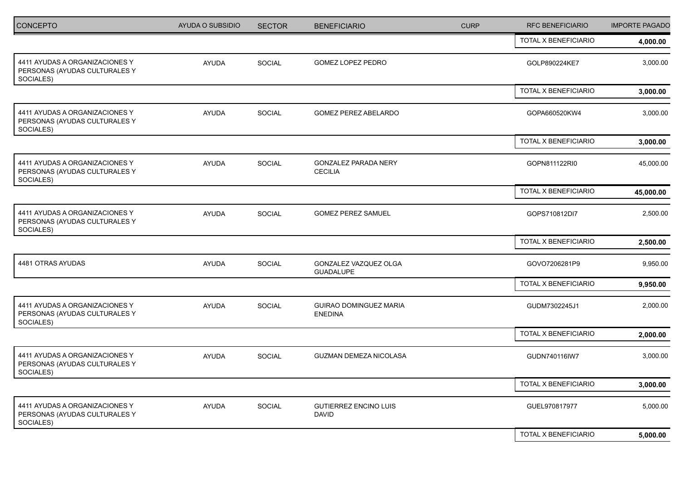| <b>CONCEPTO</b>                                                              | AYUDA O SUBSIDIO | <b>SECTOR</b> | <b>BENEFICIARIO</b>                           | <b>CURP</b> | <b>RFC BENEFICIARIO</b>     | <b>IMPORTE PAGADO</b> |
|------------------------------------------------------------------------------|------------------|---------------|-----------------------------------------------|-------------|-----------------------------|-----------------------|
|                                                                              |                  |               |                                               |             | <b>TOTAL X BENEFICIARIO</b> | 4,000.00              |
| 4411 AYUDAS A ORGANIZACIONES Y<br>PERSONAS (AYUDAS CULTURALES Y<br>SOCIALES) | <b>AYUDA</b>     | SOCIAL        | GOMEZ LOPEZ PEDRO                             |             | GOLP890224KE7               | 3,000.00              |
|                                                                              |                  |               |                                               |             | TOTAL X BENEFICIARIO        | 3,000.00              |
| 4411 AYUDAS A ORGANIZACIONES Y<br>PERSONAS (AYUDAS CULTURALES Y<br>SOCIALES) | <b>AYUDA</b>     | SOCIAL        | GOMEZ PEREZ ABELARDO                          |             | GOPA660520KW4               | 3,000.00              |
|                                                                              |                  |               |                                               |             | TOTAL X BENEFICIARIO        | 3,000.00              |
| 4411 AYUDAS A ORGANIZACIONES Y<br>PERSONAS (AYUDAS CULTURALES Y<br>SOCIALES) | <b>AYUDA</b>     | SOCIAL        | <b>GONZALEZ PARADA NERY</b><br><b>CECILIA</b> |             | GOPN811122RI0               | 45,000.00             |
|                                                                              |                  |               |                                               |             | TOTAL X BENEFICIARIO        | 45,000.00             |
| 4411 AYUDAS A ORGANIZACIONES Y<br>PERSONAS (AYUDAS CULTURALES Y<br>SOCIALES) | <b>AYUDA</b>     | SOCIAL        | <b>GOMEZ PEREZ SAMUEL</b>                     |             | GOPS710812DI7               | 2,500.00              |
|                                                                              |                  |               |                                               |             | TOTAL X BENEFICIARIO        | 2,500.00              |
| 4481 OTRAS AYUDAS                                                            | AYUDA            | SOCIAL        | GONZALEZ VAZQUEZ OLGA<br><b>GUADALUPE</b>     |             | GOVO7206281P9               | 9,950.00              |
|                                                                              |                  |               |                                               |             | TOTAL X BENEFICIARIO        | 9,950.00              |
| 4411 AYUDAS A ORGANIZACIONES Y<br>PERSONAS (AYUDAS CULTURALES Y<br>SOCIALES) | <b>AYUDA</b>     | SOCIAL        | GUIRAO DOMINGUEZ MARIA<br><b>ENEDINA</b>      |             | GUDM7302245J1               | 2,000.00              |
|                                                                              |                  |               |                                               |             | TOTAL X BENEFICIARIO        | 2,000.00              |
| 4411 AYUDAS A ORGANIZACIONES Y<br>PERSONAS (AYUDAS CULTURALES Y<br>SOCIALES) | AYUDA            | SOCIAL        | GUZMAN DEMEZA NICOLASA                        |             | GUDN740116IW7               | 3,000.00              |
|                                                                              |                  |               |                                               |             | TOTAL X BENEFICIARIO        | 3,000.00              |
| 4411 AYUDAS A ORGANIZACIONES Y<br>PERSONAS (AYUDAS CULTURALES Y<br>SOCIALES) | <b>AYUDA</b>     | <b>SOCIAL</b> | <b>GUTIERREZ ENCINO LUIS</b><br><b>DAVID</b>  |             | GUEL970817977               | 5,000.00              |
|                                                                              |                  |               |                                               |             | TOTAL X BENEFICIARIO        | 5,000.00              |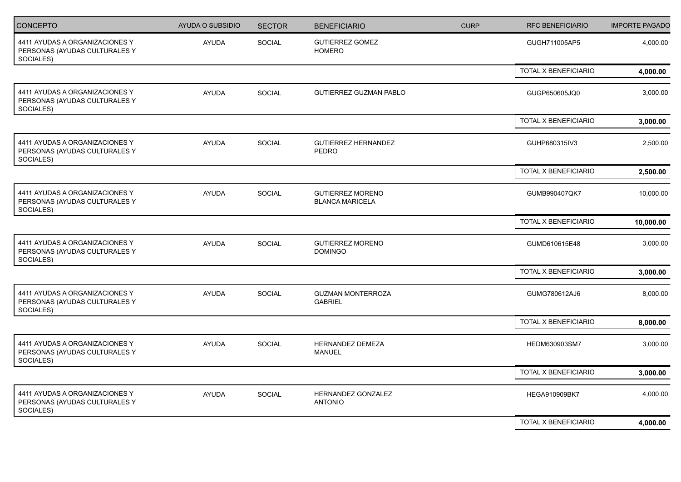| CONCEPTO                                                                     | <b>AYUDA O SUBSIDIO</b> | <b>SECTOR</b> | <b>BENEFICIARIO</b>                               | <b>CURP</b> | <b>RFC BENEFICIARIO</b>     | <b>IMPORTE PAGADO</b> |
|------------------------------------------------------------------------------|-------------------------|---------------|---------------------------------------------------|-------------|-----------------------------|-----------------------|
| 4411 AYUDAS A ORGANIZACIONES Y<br>PERSONAS (AYUDAS CULTURALES Y<br>SOCIALES) | <b>AYUDA</b>            | SOCIAL        | <b>GUTIERREZ GOMEZ</b><br><b>HOMERO</b>           |             | GUGH711005AP5               | 4,000.00              |
|                                                                              |                         |               |                                                   |             | TOTAL X BENEFICIARIO        | 4,000.00              |
| 4411 AYUDAS A ORGANIZACIONES Y<br>PERSONAS (AYUDAS CULTURALES Y<br>SOCIALES) | <b>AYUDA</b>            | SOCIAL        | GUTIERREZ GUZMAN PABLO                            |             | GUGP650605JQ0               | 3,000.00              |
|                                                                              |                         |               |                                                   |             | TOTAL X BENEFICIARIO        | 3,000.00              |
| 4411 AYUDAS A ORGANIZACIONES Y<br>PERSONAS (AYUDAS CULTURALES Y<br>SOCIALES) | <b>AYUDA</b>            | SOCIAL        | <b>GUTIERREZ HERNANDEZ</b><br><b>PEDRO</b>        |             | GUHP680315IV3               | 2,500.00              |
|                                                                              |                         |               |                                                   |             | TOTAL X BENEFICIARIO        | 2,500.00              |
| 4411 AYUDAS A ORGANIZACIONES Y<br>PERSONAS (AYUDAS CULTURALES Y<br>SOCIALES) | AYUDA                   | SOCIAL        | <b>GUTIERREZ MORENO</b><br><b>BLANCA MARICELA</b> |             | GUMB990407QK7               | 10,000.00             |
|                                                                              |                         |               |                                                   |             | TOTAL X BENEFICIARIO        | 10,000.00             |
| 4411 AYUDAS A ORGANIZACIONES Y<br>PERSONAS (AYUDAS CULTURALES Y<br>SOCIALES) | <b>AYUDA</b>            | SOCIAL        | <b>GUTIERREZ MORENO</b><br><b>DOMINGO</b>         |             | GUMD610615E48               | 3,000.00              |
|                                                                              |                         |               |                                                   |             | <b>TOTAL X BENEFICIARIO</b> | 3,000.00              |
| 4411 AYUDAS A ORGANIZACIONES Y<br>PERSONAS (AYUDAS CULTURALES Y<br>SOCIALES) | <b>AYUDA</b>            | <b>SOCIAL</b> | <b>GUZMAN MONTERROZA</b><br><b>GABRIEL</b>        |             | GUMG780612AJ6               | 8,000.00              |
|                                                                              |                         |               |                                                   |             | TOTAL X BENEFICIARIO        | 8,000.00              |
| 4411 AYUDAS A ORGANIZACIONES Y<br>PERSONAS (AYUDAS CULTURALES Y<br>SOCIALES) | <b>AYUDA</b>            | SOCIAL        | HERNANDEZ DEMEZA<br>MANUEL                        |             | HEDM630903SM7               | 3,000.00              |
|                                                                              |                         |               |                                                   |             | TOTAL X BENEFICIARIO        | 3,000.00              |
| 4411 AYUDAS A ORGANIZACIONES Y<br>PERSONAS (AYUDAS CULTURALES Y<br>SOCIALES) | <b>AYUDA</b>            | SOCIAL        | HERNANDEZ GONZALEZ<br><b>ANTONIO</b>              |             | <b>HEGA910909BK7</b>        | 4,000.00              |
|                                                                              |                         |               |                                                   |             | TOTAL X BENEFICIARIO        | 4,000.00              |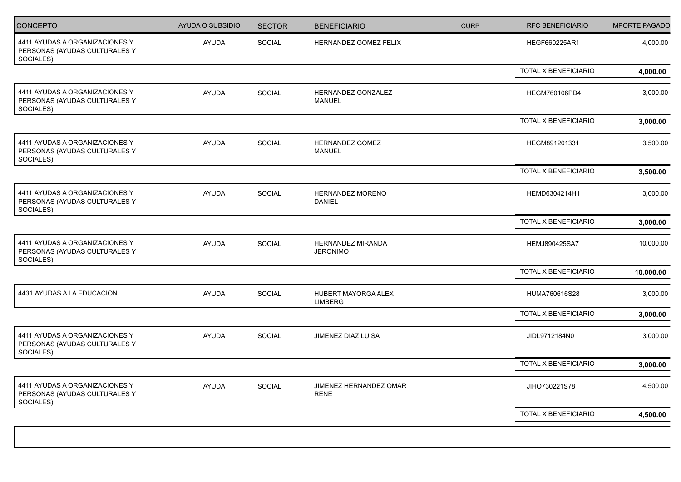| CONCEPTO                                                                     | AYUDA O SUBSIDIO | <b>SECTOR</b> | <b>BENEFICIARIO</b>                   | <b>CURP</b> | RFC BENEFICIARIO     | <b>IMPORTE PAGADO</b> |
|------------------------------------------------------------------------------|------------------|---------------|---------------------------------------|-------------|----------------------|-----------------------|
| 4411 AYUDAS A ORGANIZACIONES Y<br>PERSONAS (AYUDAS CULTURALES Y<br>SOCIALES) | <b>AYUDA</b>     | SOCIAL        | HERNANDEZ GOMEZ FELIX                 |             | HEGF660225AR1        | 4,000.00              |
|                                                                              |                  |               |                                       |             | TOTAL X BENEFICIARIO | 4,000.00              |
| 4411 AYUDAS A ORGANIZACIONES Y<br>PERSONAS (AYUDAS CULTURALES Y<br>SOCIALES) | AYUDA            | SOCIAL        | HERNANDEZ GONZALEZ<br><b>MANUEL</b>   |             | HEGM760106PD4        | 3,000.00              |
|                                                                              |                  |               |                                       |             | TOTAL X BENEFICIARIO | 3,000.00              |
| 4411 AYUDAS A ORGANIZACIONES Y<br>PERSONAS (AYUDAS CULTURALES Y<br>SOCIALES) | AYUDA            | SOCIAL        | HERNANDEZ GOMEZ<br><b>MANUEL</b>      |             | HEGM891201331        | 3,500.00              |
|                                                                              |                  |               |                                       |             | TOTAL X BENEFICIARIO | 3,500.00              |
| 4411 AYUDAS A ORGANIZACIONES Y<br>PERSONAS (AYUDAS CULTURALES Y<br>SOCIALES) | <b>AYUDA</b>     | SOCIAL        | HERNANDEZ MORENO<br><b>DANIEL</b>     |             | HEMD6304214H1        | 3,000.00              |
|                                                                              |                  |               |                                       |             | TOTAL X BENEFICIARIO | 3,000.00              |
| 4411 AYUDAS A ORGANIZACIONES Y<br>PERSONAS (AYUDAS CULTURALES Y<br>SOCIALES) | AYUDA            | SOCIAL        | HERNANDEZ MIRANDA<br><b>JERONIMO</b>  |             | <b>HEMJ890425SA7</b> | 10,000.00             |
|                                                                              |                  |               |                                       |             | TOTAL X BENEFICIARIO | 10,000.00             |
| 4431 AYUDAS A LA EDUCACIÓN                                                   | AYUDA            | SOCIAL        | HUBERT MAYORGA ALEX<br><b>LIMBERG</b> |             | HUMA760616S28        | 3,000.00              |
|                                                                              |                  |               |                                       |             | TOTAL X BENEFICIARIO | 3,000.00              |
| 4411 AYUDAS A ORGANIZACIONES Y<br>PERSONAS (AYUDAS CULTURALES Y<br>SOCIALES) | <b>AYUDA</b>     | SOCIAL        | JIMENEZ DIAZ LUISA                    |             | JIDL9712184N0        | 3,000.00              |
|                                                                              |                  |               |                                       |             | TOTAL X BENEFICIARIO | 3,000.00              |
| 4411 AYUDAS A ORGANIZACIONES Y<br>PERSONAS (AYUDAS CULTURALES Y<br>SOCIALES) | AYUDA            | SOCIAL        | JIMENEZ HERNANDEZ OMAR<br><b>RENE</b> |             | JIHO730221S78        | 4,500.00              |
|                                                                              |                  |               |                                       |             | TOTAL X BENEFICIARIO | 4,500.00              |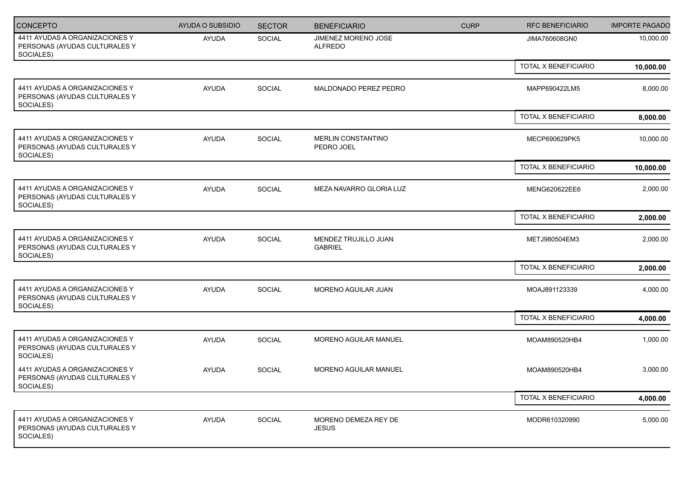| CONCEPTO                                                                     | <b>AYUDA O SUBSIDIO</b> | <b>SECTOR</b> | <b>BENEFICIARIO</b>                     | <b>CURP</b> | <b>RFC BENEFICIARIO</b> | <b>IMPORTE PAGADO</b> |
|------------------------------------------------------------------------------|-------------------------|---------------|-----------------------------------------|-------------|-------------------------|-----------------------|
| 4411 AYUDAS A ORGANIZACIONES Y<br>PERSONAS (AYUDAS CULTURALES Y<br>SOCIALES) | AYUDA                   | SOCIAL        | JIMENEZ MORENO JOSE<br><b>ALFREDO</b>   |             | JIMA760608GN0           | 10,000.00             |
|                                                                              |                         |               |                                         |             | TOTAL X BENEFICIARIO    | 10,000.00             |
| 4411 AYUDAS A ORGANIZACIONES Y<br>PERSONAS (AYUDAS CULTURALES Y<br>SOCIALES) | AYUDA                   | SOCIAL        | MALDONADO PEREZ PEDRO                   |             | MAPP690422LM5           | 8,000.00              |
|                                                                              |                         |               |                                         |             | TOTAL X BENEFICIARIO    | 8,000.00              |
| 4411 AYUDAS A ORGANIZACIONES Y<br>PERSONAS (AYUDAS CULTURALES Y<br>SOCIALES) | AYUDA                   | SOCIAL        | <b>MERLIN CONSTANTINO</b><br>PEDRO JOEL |             | MECP690629PK5           | 10,000.00             |
|                                                                              |                         |               |                                         |             | TOTAL X BENEFICIARIO    | 10,000.00             |
| 4411 AYUDAS A ORGANIZACIONES Y<br>PERSONAS (AYUDAS CULTURALES Y<br>SOCIALES) | AYUDA                   | SOCIAL        | MEZA NAVARRO GLORIA LUZ                 |             | MENG620622EE6           | 2,000.00              |
|                                                                              |                         |               |                                         |             | TOTAL X BENEFICIARIO    | 2,000.00              |
| 4411 AYUDAS A ORGANIZACIONES Y<br>PERSONAS (AYUDAS CULTURALES Y<br>SOCIALES) | AYUDA                   | SOCIAL        | MENDEZ TRUJILLO JUAN<br><b>GABRIEL</b>  |             | METJ980504EM3           | 2,000.00              |
|                                                                              |                         |               |                                         |             | TOTAL X BENEFICIARIO    | 2,000.00              |
| 4411 AYUDAS A ORGANIZACIONES Y<br>PERSONAS (AYUDAS CULTURALES Y<br>SOCIALES) | <b>AYUDA</b>            | SOCIAL        | MORENO AGUILAR JUAN                     |             | MOAJ891123339           | 4,000.00              |
|                                                                              |                         |               |                                         |             | TOTAL X BENEFICIARIO    | 4,000.00              |
| 4411 AYUDAS A ORGANIZACIONES Y<br>PERSONAS (AYUDAS CULTURALES Y<br>SOCIALES) | AYUDA                   | SOCIAL        | MORENO AGUILAR MANUEL                   |             | MOAM890520HB4           | 1,000.00              |
| 4411 AYUDAS A ORGANIZACIONES Y<br>PERSONAS (AYUDAS CULTURALES Y<br>SOCIALES) | <b>AYUDA</b>            | SOCIAL        | MORENO AGUILAR MANUEL                   |             | MOAM890520HB4           | 3,000.00              |
|                                                                              |                         |               |                                         |             | TOTAL X BENEFICIARIO    | 4,000.00              |
| 4411 AYUDAS A ORGANIZACIONES Y<br>PERSONAS (AYUDAS CULTURALES Y<br>SOCIALES) | AYUDA                   | SOCIAL        | MORENO DEMEZA REY DE<br><b>JESUS</b>    |             | MODR610320990           | 5,000.00              |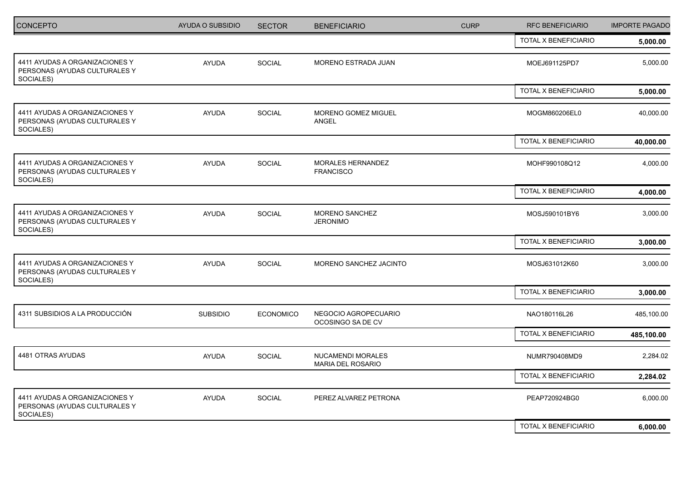| <b>CONCEPTO</b>                                                              | AYUDA O SUBSIDIO | <b>SECTOR</b>    | <b>BENEFICIARIO</b>                           | <b>CURP</b> | <b>RFC BENEFICIARIO</b> | <b>IMPORTE PAGADO</b> |
|------------------------------------------------------------------------------|------------------|------------------|-----------------------------------------------|-------------|-------------------------|-----------------------|
|                                                                              |                  |                  |                                               |             | TOTAL X BENEFICIARIO    | 5,000.00              |
| 4411 AYUDAS A ORGANIZACIONES Y<br>PERSONAS (AYUDAS CULTURALES Y<br>SOCIALES) | AYUDA            | SOCIAL           | MORENO ESTRADA JUAN                           |             | MOEJ691125PD7           | 5,000.00              |
|                                                                              |                  |                  |                                               |             | TOTAL X BENEFICIARIO    | 5,000.00              |
| 4411 AYUDAS A ORGANIZACIONES Y<br>PERSONAS (AYUDAS CULTURALES Y<br>SOCIALES) | <b>AYUDA</b>     | SOCIAL           | MORENO GOMEZ MIGUEL<br><b>ANGEL</b>           |             | MOGM860206EL0           | 40,000.00             |
|                                                                              |                  |                  |                                               |             | TOTAL X BENEFICIARIO    | 40,000.00             |
| 4411 AYUDAS A ORGANIZACIONES Y<br>PERSONAS (AYUDAS CULTURALES Y<br>SOCIALES) | <b>AYUDA</b>     | SOCIAL           | MORALES HERNANDEZ<br><b>FRANCISCO</b>         |             | MOHF990108Q12           | 4,000.00              |
|                                                                              |                  |                  |                                               |             | TOTAL X BENEFICIARIO    | 4,000.00              |
| 4411 AYUDAS A ORGANIZACIONES Y<br>PERSONAS (AYUDAS CULTURALES Y<br>SOCIALES) | <b>AYUDA</b>     | SOCIAL           | MORENO SANCHEZ<br><b>JERONIMO</b>             |             | MOSJ590101BY6           | 3,000.00              |
|                                                                              |                  |                  |                                               |             | TOTAL X BENEFICIARIO    | 3,000.00              |
| 4411 AYUDAS A ORGANIZACIONES Y<br>PERSONAS (AYUDAS CULTURALES Y<br>SOCIALES) | <b>AYUDA</b>     | SOCIAL           | MORENO SANCHEZ JACINTO                        |             | MOSJ631012K60           | 3,000.00              |
|                                                                              |                  |                  |                                               |             | TOTAL X BENEFICIARIO    | 3,000.00              |
| 4311 SUBSIDIOS A LA PRODUCCIÓN                                               | <b>SUBSIDIO</b>  | <b>ECONOMICO</b> | NEGOCIO AGROPECUARIO<br>OCOSINGO SA DE CV     |             | NAO180116L26            | 485,100.00            |
|                                                                              |                  |                  |                                               |             | TOTAL X BENEFICIARIO    | 485,100.00            |
| 4481 OTRAS AYUDAS                                                            | <b>AYUDA</b>     | SOCIAL           | NUCAMENDI MORALES<br><b>MARIA DEL ROSARIO</b> |             | NUMR790408MD9           | 2,284.02              |
|                                                                              |                  |                  |                                               |             | TOTAL X BENEFICIARIO    | 2,284.02              |
| 4411 AYUDAS A ORGANIZACIONES Y<br>PERSONAS (AYUDAS CULTURALES Y<br>SOCIALES) | <b>AYUDA</b>     | SOCIAL           | PEREZ ALVAREZ PETRONA                         |             | PEAP720924BG0           | 6,000.00              |
|                                                                              |                  |                  |                                               |             | TOTAL X BENEFICIARIO    | 6,000.00              |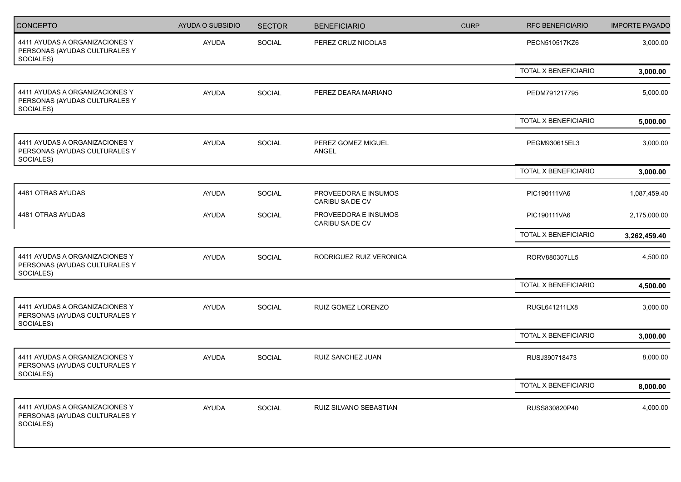| CONCEPTO                                                                     | AYUDA O SUBSIDIO | <b>SECTOR</b> | <b>BENEFICIARIO</b>                     | <b>CURP</b> | <b>RFC BENEFICIARIO</b> | <b>IMPORTE PAGADO</b> |
|------------------------------------------------------------------------------|------------------|---------------|-----------------------------------------|-------------|-------------------------|-----------------------|
| 4411 AYUDAS A ORGANIZACIONES Y<br>PERSONAS (AYUDAS CULTURALES Y<br>SOCIALES) | AYUDA            | <b>SOCIAL</b> | PEREZ CRUZ NICOLAS                      |             | PECN510517KZ6           | 3,000.00              |
|                                                                              |                  |               |                                         |             | TOTAL X BENEFICIARIO    | 3,000.00              |
| 4411 AYUDAS A ORGANIZACIONES Y<br>PERSONAS (AYUDAS CULTURALES Y<br>SOCIALES) | AYUDA            | SOCIAL        | PEREZ DEARA MARIANO                     |             | PEDM791217795           | 5,000.00              |
|                                                                              |                  |               |                                         |             | TOTAL X BENEFICIARIO    | 5,000.00              |
| 4411 AYUDAS A ORGANIZACIONES Y<br>PERSONAS (AYUDAS CULTURALES Y<br>SOCIALES) | <b>AYUDA</b>     | SOCIAL        | PEREZ GOMEZ MIGUEL<br>ANGEL             |             | PEGM930615EL3           | 3,000.00              |
|                                                                              |                  |               |                                         |             | TOTAL X BENEFICIARIO    | 3,000.00              |
| 4481 OTRAS AYUDAS                                                            | AYUDA            | SOCIAL        | PROVEEDORA E INSUMOS<br>CARIBU SA DE CV |             | PIC190111VA6            | 1,087,459.40          |
| 4481 OTRAS AYUDAS                                                            | <b>AYUDA</b>     | SOCIAL        | PROVEEDORA E INSUMOS<br>CARIBU SA DE CV |             | PIC190111VA6            | 2,175,000.00          |
|                                                                              |                  |               |                                         |             | TOTAL X BENEFICIARIO    | 3,262,459.40          |
| 4411 AYUDAS A ORGANIZACIONES Y<br>PERSONAS (AYUDAS CULTURALES Y<br>SOCIALES) | <b>AYUDA</b>     | SOCIAL        | RODRIGUEZ RUIZ VERONICA                 |             | RORV880307LL5           | 4,500.00              |
|                                                                              |                  |               |                                         |             | TOTAL X BENEFICIARIO    | 4,500.00              |
| 4411 AYUDAS A ORGANIZACIONES Y<br>PERSONAS (AYUDAS CULTURALES Y<br>SOCIALES) | AYUDA            | SOCIAL        | RUIZ GOMEZ LORENZO                      |             | RUGL641211LX8           | 3,000.00              |
|                                                                              |                  |               |                                         |             | TOTAL X BENEFICIARIO    | 3,000.00              |
| 4411 AYUDAS A ORGANIZACIONES Y<br>PERSONAS (AYUDAS CULTURALES Y<br>SOCIALES) | <b>AYUDA</b>     | SOCIAL        | RUIZ SANCHEZ JUAN                       |             | RUSJ390718473           | 8,000.00              |
|                                                                              |                  |               |                                         |             | TOTAL X BENEFICIARIO    | 8,000.00              |
| 4411 AYUDAS A ORGANIZACIONES Y<br>PERSONAS (AYUDAS CULTURALES Y<br>SOCIALES) | <b>AYUDA</b>     | <b>SOCIAL</b> | RUIZ SILVANO SEBASTIAN                  |             | RUSS830820P40           | 4,000.00              |